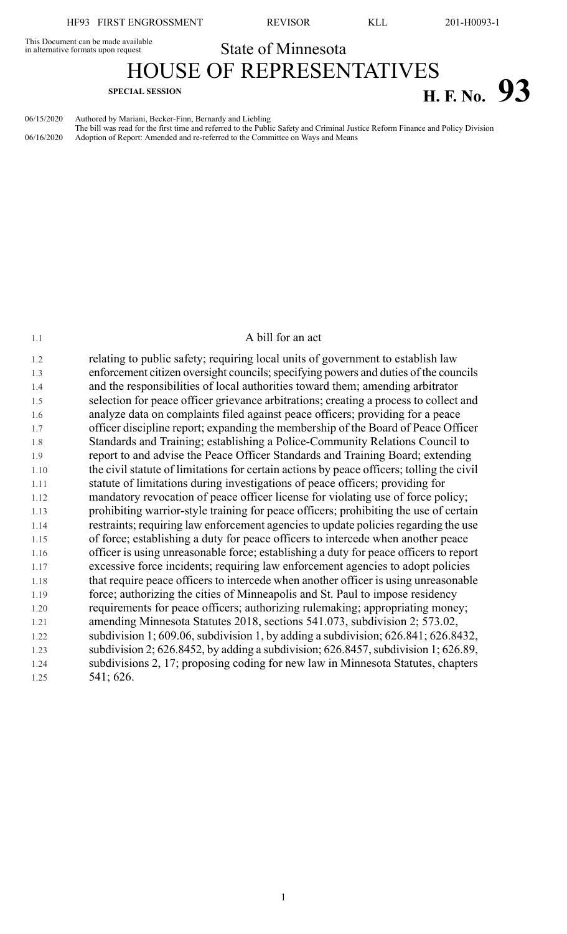in alternative formats upon request

This Document can be made available<br>
in alternative formats upon request<br>
State of Minnesota

HOUSE OF REPRESENTATIVES

## **SPECIAL SESSION H. F. No. 93**

06/15/2020 Authored by Mariani, Becker-Finn, Bernardy and Liebling

The bill was read for the first time and referred to the Public Safety and Criminal Justice Reform Finance and Policy Division 06/16/2020 Adoption of Report: Amended and re-referred to the Committee on Ways and Means

## 1.1 A bill for an act

1.2 relating to public safety; requiring local units of government to establish law 1.3 enforcement citizen oversight councils; specifying powers and duties of the councils 1.4 and the responsibilities of local authorities toward them; amending arbitrator 1.5 selection for peace officer grievance arbitrations; creating a process to collect and 1.6 analyze data on complaints filed against peace officers; providing for a peace 1.7 officer discipline report; expanding the membership of the Board of Peace Officer 1.8 Standards and Training; establishing a Police-Community Relations Council to 1.9 report to and advise the Peace Officer Standards and Training Board; extending 1.10 the civil statute of limitations for certain actions by peace officers; tolling the civil 1.11 statute of limitations during investigations of peace officers; providing for 1.12 mandatory revocation of peace officer license for violating use of force policy; 1.13 prohibiting warrior-style training for peace officers; prohibiting the use of certain 1.14 restraints; requiring law enforcement agencies to update policies regarding the use 1.15 of force; establishing a duty for peace officers to intercede when another peace 1.16 officer is using unreasonable force; establishing a duty for peace officers to report 1.17 excessive force incidents; requiring law enforcement agencies to adopt policies 1.18 that require peace officers to intercede when another officer is using unreasonable 1.19 force; authorizing the cities of Minneapolis and St. Paul to impose residency 1.20 requirements for peace officers; authorizing rulemaking; appropriating money; 1.21 amending Minnesota Statutes 2018, sections 541.073, subdivision 2; 573.02, 1.22 subdivision 1; 609.06, subdivision 1, by adding a subdivision; 626.841; 626.8432, 1.23 subdivision 2; 626.8452, by adding a subdivision; 626.8457, subdivision 1; 626.89, 1.24 subdivisions 2, 17; proposing coding for new law in Minnesota Statutes, chapters 1.25 541; 626.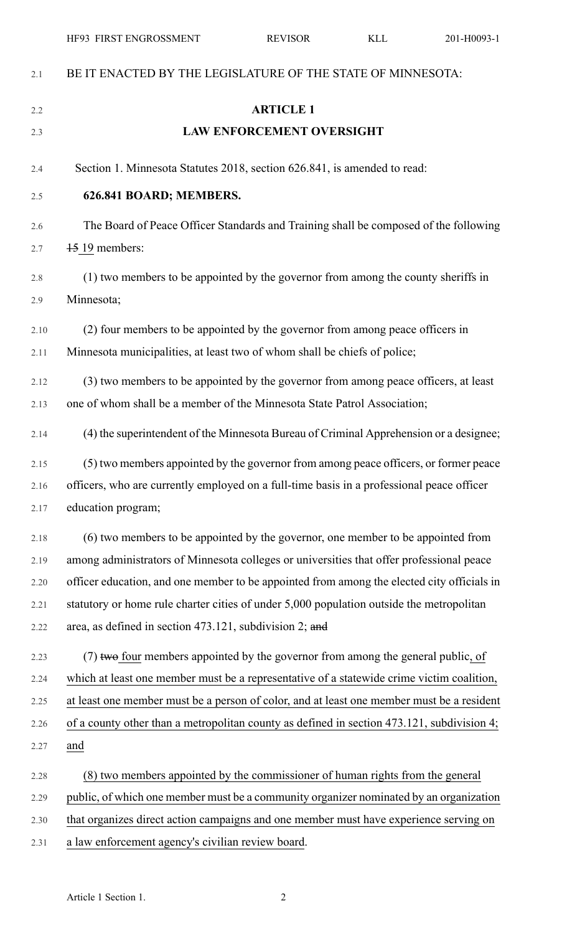|      | HF93 FIRST ENGROSSMENT                                                                     | <b>REVISOR</b>                   | <b>KLL</b> | 201-H0093-1 |
|------|--------------------------------------------------------------------------------------------|----------------------------------|------------|-------------|
| 2.1  | BE IT ENACTED BY THE LEGISLATURE OF THE STATE OF MINNESOTA:                                |                                  |            |             |
| 2.2  |                                                                                            | <b>ARTICLE 1</b>                 |            |             |
| 2.3  |                                                                                            | <b>LAW ENFORCEMENT OVERSIGHT</b> |            |             |
| 2.4  | Section 1. Minnesota Statutes 2018, section 626.841, is amended to read:                   |                                  |            |             |
| 2.5  | 626.841 BOARD; MEMBERS.                                                                    |                                  |            |             |
| 2.6  | The Board of Peace Officer Standards and Training shall be composed of the following       |                                  |            |             |
| 2.7  | 15 19 members:                                                                             |                                  |            |             |
| 2.8  | (1) two members to be appointed by the governor from among the county sheriffs in          |                                  |            |             |
| 2.9  | Minnesota;                                                                                 |                                  |            |             |
| 2.10 | (2) four members to be appointed by the governor from among peace officers in              |                                  |            |             |
| 2.11 | Minnesota municipalities, at least two of whom shall be chiefs of police;                  |                                  |            |             |
| 2.12 | (3) two members to be appointed by the governor from among peace officers, at least        |                                  |            |             |
| 2.13 | one of whom shall be a member of the Minnesota State Patrol Association;                   |                                  |            |             |
| 2.14 | (4) the superintendent of the Minnesota Bureau of Criminal Apprehension or a designee;     |                                  |            |             |
| 2.15 | (5) two members appointed by the governor from among peace officers, or former peace       |                                  |            |             |
| 2.16 | officers, who are currently employed on a full-time basis in a professional peace officer  |                                  |            |             |
| 2.17 | education program;                                                                         |                                  |            |             |
| 2.18 | (6) two members to be appointed by the governor, one member to be appointed from           |                                  |            |             |
| 2.19 | among administrators of Minnesota colleges or universities that offer professional peace   |                                  |            |             |
| 2.20 | officer education, and one member to be appointed from among the elected city officials in |                                  |            |             |
| 2.21 | statutory or home rule charter cities of under 5,000 population outside the metropolitan   |                                  |            |             |
| 2.22 | area, as defined in section 473.121, subdivision 2; and                                    |                                  |            |             |
| 2.23 | (7) two four members appointed by the governor from among the general public, of           |                                  |            |             |
| 2.24 | which at least one member must be a representative of a statewide crime victim coalition,  |                                  |            |             |
| 2.25 | at least one member must be a person of color, and at least one member must be a resident  |                                  |            |             |
| 2.26 | of a county other than a metropolitan county as defined in section 473.121, subdivision 4; |                                  |            |             |
| 2.27 | and                                                                                        |                                  |            |             |
| 2.28 | (8) two members appointed by the commissioner of human rights from the general             |                                  |            |             |
| 2.29 | public, of which one member must be a community organizer nominated by an organization     |                                  |            |             |
| 2.30 | that organizes direct action campaigns and one member must have experience serving on      |                                  |            |             |
| 2.31 | a law enforcement agency's civilian review board.                                          |                                  |            |             |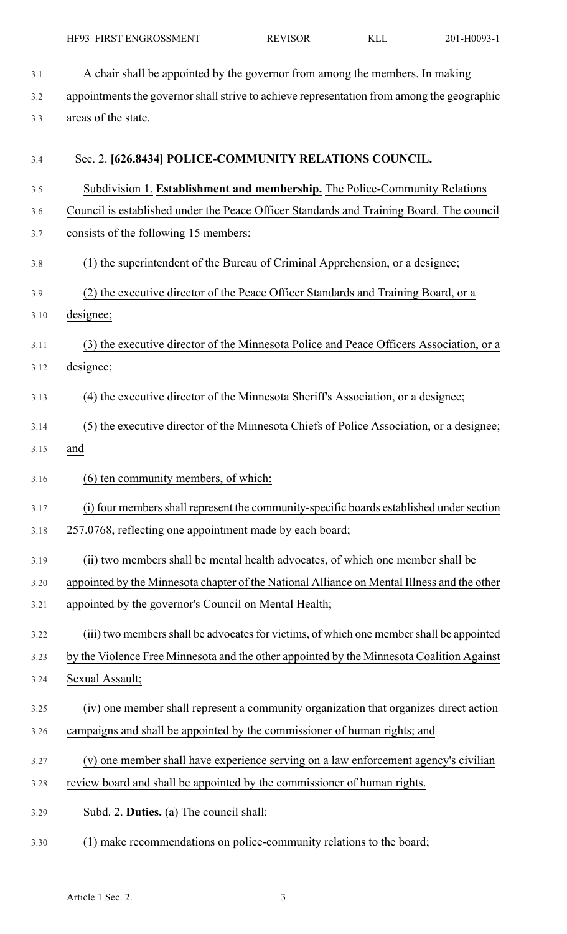3.1 A chair shall be appointed by the governor from among the members. In making 3.2 appointments the governor shall strive to achieve representation from among the geographic 3.3 areas of the state.

| 3.4  | Sec. 2. [626.8434] POLICE-COMMUNITY RELATIONS COUNCIL.                                      |
|------|---------------------------------------------------------------------------------------------|
| 3.5  | Subdivision 1. Establishment and membership. The Police-Community Relations                 |
| 3.6  | Council is established under the Peace Officer Standards and Training Board. The council    |
| 3.7  | consists of the following 15 members:                                                       |
| 3.8  | (1) the superintendent of the Bureau of Criminal Apprehension, or a designee;               |
| 3.9  | (2) the executive director of the Peace Officer Standards and Training Board, or a          |
| 3.10 | designee;                                                                                   |
| 3.11 | (3) the executive director of the Minnesota Police and Peace Officers Association, or a     |
| 3.12 | designee;                                                                                   |
| 3.13 | (4) the executive director of the Minnesota Sheriff's Association, or a designee;           |
| 3.14 | (5) the executive director of the Minnesota Chiefs of Police Association, or a designee;    |
| 3.15 | and                                                                                         |
| 3.16 | (6) ten community members, of which:                                                        |
| 3.17 | (i) four members shall represent the community-specific boards established under section    |
| 3.18 | 257.0768, reflecting one appointment made by each board;                                    |
| 3.19 | (ii) two members shall be mental health advocates, of which one member shall be             |
| 3.20 | appointed by the Minnesota chapter of the National Alliance on Mental Illness and the other |
| 3.21 | appointed by the governor's Council on Mental Health;                                       |
| 3.22 | (iii) two members shall be advocates for victims, of which one member shall be appointed    |
| 3.23 | by the Violence Free Minnesota and the other appointed by the Minnesota Coalition Against   |
| 3.24 | Sexual Assault;                                                                             |
| 3.25 | (iv) one member shall represent a community organization that organizes direct action       |
| 3.26 | campaigns and shall be appointed by the commissioner of human rights; and                   |
| 3.27 | (v) one member shall have experience serving on a law enforcement agency's civilian         |
| 3.28 | review board and shall be appointed by the commissioner of human rights.                    |
| 3.29 | Subd. 2. Duties. (a) The council shall:                                                     |
| 3.30 | (1) make recommendations on police-community relations to the board;                        |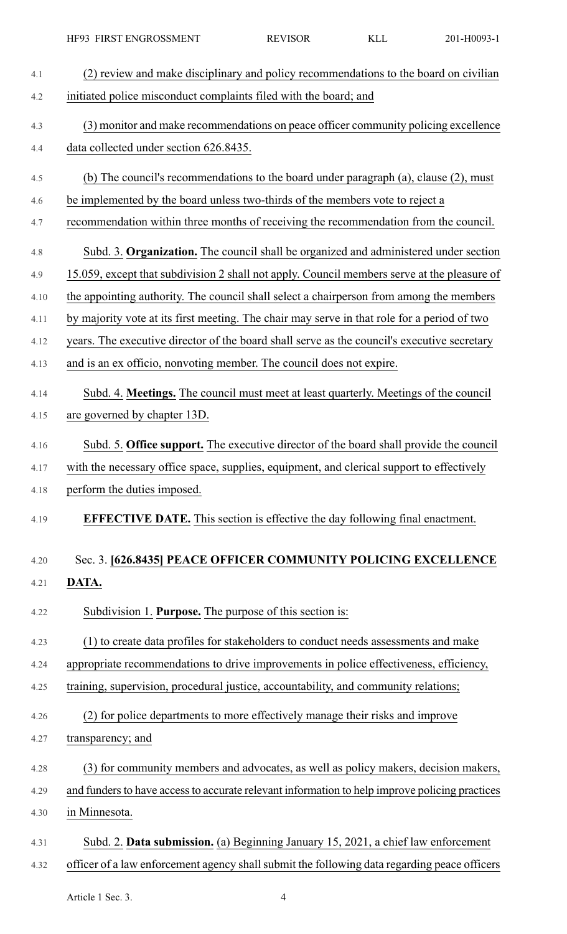|      | HF93 FIRST ENGROSSMENT                                                                         | <b>REVISOR</b> | <b>KLL</b> | 201-H0093-1 |
|------|------------------------------------------------------------------------------------------------|----------------|------------|-------------|
| 4.1  | (2) review and make disciplinary and policy recommendations to the board on civilian           |                |            |             |
| 4.2  | initiated police misconduct complaints filed with the board; and                               |                |            |             |
| 4.3  | (3) monitor and make recommendations on peace officer community policing excellence            |                |            |             |
| 4.4  | data collected under section 626.8435.                                                         |                |            |             |
| 4.5  | (b) The council's recommendations to the board under paragraph (a), clause (2), must           |                |            |             |
| 4.6  | be implemented by the board unless two-thirds of the members vote to reject a                  |                |            |             |
| 4.7  | recommendation within three months of receiving the recommendation from the council.           |                |            |             |
| 4.8  | Subd. 3. Organization. The council shall be organized and administered under section           |                |            |             |
| 4.9  | 15.059, except that subdivision 2 shall not apply. Council members serve at the pleasure of    |                |            |             |
| 4.10 | the appointing authority. The council shall select a chairperson from among the members        |                |            |             |
| 4.11 | by majority vote at its first meeting. The chair may serve in that role for a period of two    |                |            |             |
| 4.12 | years. The executive director of the board shall serve as the council's executive secretary    |                |            |             |
| 4.13 | and is an ex officio, nonvoting member. The council does not expire.                           |                |            |             |
| 4.14 | Subd. 4. Meetings. The council must meet at least quarterly. Meetings of the council           |                |            |             |
| 4.15 | are governed by chapter 13D.                                                                   |                |            |             |
| 4.16 | Subd. 5. Office support. The executive director of the board shall provide the council         |                |            |             |
| 4.17 | with the necessary office space, supplies, equipment, and clerical support to effectively      |                |            |             |
| 4.18 | perform the duties imposed.                                                                    |                |            |             |
| 4.19 | <b>EFFECTIVE DATE.</b> This section is effective the day following final enactment.            |                |            |             |
|      |                                                                                                |                |            |             |
| 4.20 | Sec. 3. [626.8435] PEACE OFFICER COMMUNITY POLICING EXCELLENCE                                 |                |            |             |
| 4.21 | DATA.                                                                                          |                |            |             |
| 4.22 | Subdivision 1. Purpose. The purpose of this section is:                                        |                |            |             |
| 4.23 | (1) to create data profiles for stakeholders to conduct needs assessments and make             |                |            |             |
| 4.24 | appropriate recommendations to drive improvements in police effectiveness, efficiency,         |                |            |             |
| 4.25 | training, supervision, procedural justice, accountability, and community relations;            |                |            |             |
| 4.26 | (2) for police departments to more effectively manage their risks and improve                  |                |            |             |
| 4.27 | transparency; and                                                                              |                |            |             |
| 4.28 | (3) for community members and advocates, as well as policy makers, decision makers,            |                |            |             |
| 4.29 | and funders to have access to accurate relevant information to help improve policing practices |                |            |             |
| 4.30 | in Minnesota.                                                                                  |                |            |             |
| 4.31 | Subd. 2. Data submission. (a) Beginning January 15, 2021, a chief law enforcement              |                |            |             |
| 4.32 | officer of a law enforcement agency shall submit the following data regarding peace officers   |                |            |             |

Article 1 Sec. 3. 4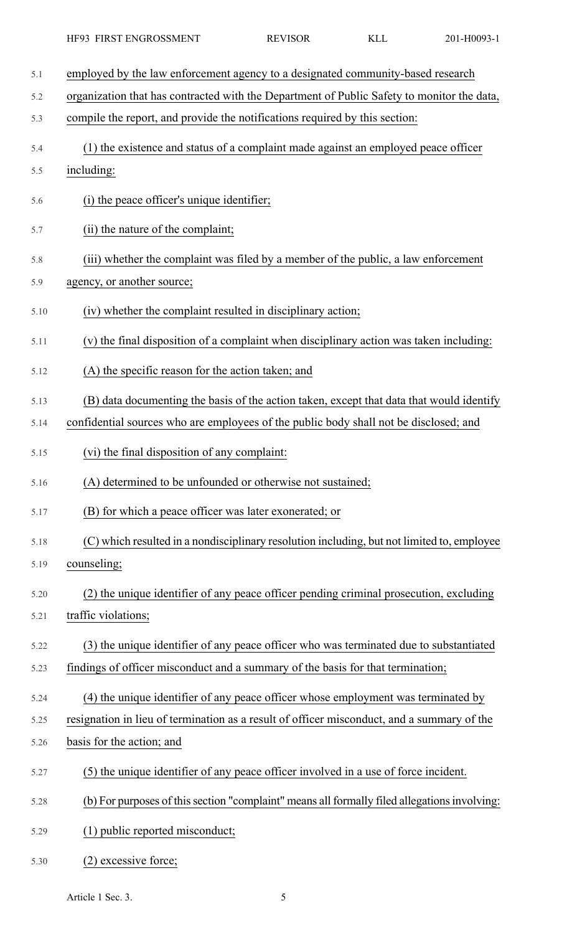- 5.1 employed by the law enforcement agency to a designated community-based research 5.2 organization that has contracted with the Department of Public Safety to monitor the data, 5.3 compile the report, and provide the notifications required by this section: 5.4 (1) the existence and status of a complaint made against an employed peace officer 5.5 including: 5.6 (i) the peace officer's unique identifier; 5.7 (ii) the nature of the complaint; 5.8 (iii) whether the complaint was filed by a member of the public, a law enforcement 5.9 agency, or another source; 5.10 (iv) whether the complaint resulted in disciplinary action; 5.11 (v) the final disposition of a complaint when disciplinary action was taken including: 5.12 (A) the specific reason for the action taken; and 5.13 (B) data documenting the basis of the action taken, except that data that would identify 5.14 confidential sources who are employees of the public body shall not be disclosed; and 5.15 (vi) the final disposition of any complaint: 5.16 (A) determined to be unfounded or otherwise not sustained; 5.17 (B) for which a peace officer was later exonerated; or 5.18 (C) which resulted in a nondisciplinary resolution including, but not limited to, employee 5.19 counseling; 5.20 (2) the unique identifier of any peace officer pending criminal prosecution, excluding 5.21 traffic violations; 5.22 (3) the unique identifier of any peace officer who was terminated due to substantiated 5.23 findings of officer misconduct and a summary of the basis for that termination; 5.24 (4) the unique identifier of any peace officer whose employment was terminated by 5.25 resignation in lieu of termination as a result of officer misconduct, and a summary of the 5.26 basis for the action; and 5.27 (5) the unique identifier of any peace officer involved in a use of force incident. 5.28 (b) For purposes of this section "complaint" means all formally filed allegations involving: 5.29 (1) public reported misconduct;
- 5.30 (2) excessive force;

Article 1 Sec. 3.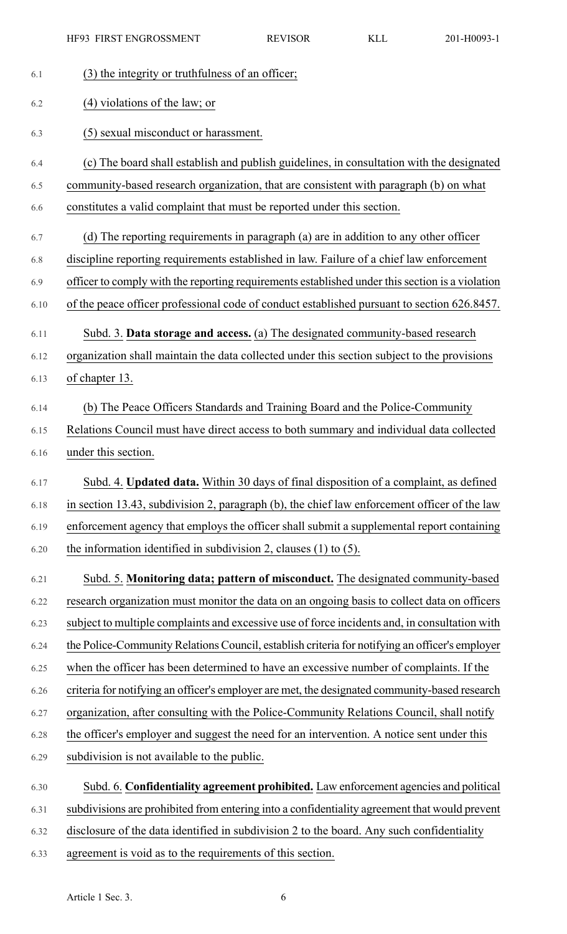|      | HF93 FIRST ENGROSSMENT                                                                          | <b>REVISOR</b> | <b>KLL</b> | 201-H0093-1 |
|------|-------------------------------------------------------------------------------------------------|----------------|------------|-------------|
| 6.1  | (3) the integrity or truthfulness of an officer;                                                |                |            |             |
| 6.2  | $(4)$ violations of the law; or                                                                 |                |            |             |
| 6.3  | (5) sexual misconduct or harassment.                                                            |                |            |             |
| 6.4  | (c) The board shall establish and publish guidelines, in consultation with the designated       |                |            |             |
| 6.5  | community-based research organization, that are consistent with paragraph (b) on what           |                |            |             |
| 6.6  | constitutes a valid complaint that must be reported under this section.                         |                |            |             |
| 6.7  | (d) The reporting requirements in paragraph (a) are in addition to any other officer            |                |            |             |
| 6.8  | discipline reporting requirements established in law. Failure of a chief law enforcement        |                |            |             |
| 6.9  | officer to comply with the reporting requirements established under this section is a violation |                |            |             |
| 6.10 | of the peace officer professional code of conduct established pursuant to section 626.8457.     |                |            |             |
| 6.11 | Subd. 3. Data storage and access. (a) The designated community-based research                   |                |            |             |
| 6.12 | organization shall maintain the data collected under this section subject to the provisions     |                |            |             |
| 6.13 | of chapter 13.                                                                                  |                |            |             |
| 6.14 | (b) The Peace Officers Standards and Training Board and the Police-Community                    |                |            |             |
| 6.15 | Relations Council must have direct access to both summary and individual data collected         |                |            |             |
| 6.16 | under this section.                                                                             |                |            |             |
| 6.17 | Subd. 4. Updated data. Within 30 days of final disposition of a complaint, as defined           |                |            |             |
| 6.18 | in section 13.43, subdivision 2, paragraph (b), the chief law enforcement officer of the law    |                |            |             |
| 6.19 | enforcement agency that employs the officer shall submit a supplemental report containing       |                |            |             |
| 6.20 | the information identified in subdivision 2, clauses $(1)$ to $(5)$ .                           |                |            |             |
| 6.21 | Subd. 5. Monitoring data; pattern of misconduct. The designated community-based                 |                |            |             |
| 6.22 | research organization must monitor the data on an ongoing basis to collect data on officers     |                |            |             |
| 6.23 | subject to multiple complaints and excessive use of force incidents and, in consultation with   |                |            |             |
| 6.24 | the Police-Community Relations Council, establish criteria for notifying an officer's employer  |                |            |             |
| 6.25 | when the officer has been determined to have an excessive number of complaints. If the          |                |            |             |
| 6.26 | criteria for notifying an officer's employer are met, the designated community-based research   |                |            |             |
| 6.27 | organization, after consulting with the Police-Community Relations Council, shall notify        |                |            |             |
| 6.28 | the officer's employer and suggest the need for an intervention. A notice sent under this       |                |            |             |
| 6.29 | subdivision is not available to the public.                                                     |                |            |             |
| 6.30 | Subd. 6. Confidentiality agreement prohibited. Law enforcement agencies and political           |                |            |             |
| 6.31 | subdivisions are prohibited from entering into a confidentiality agreement that would prevent   |                |            |             |
| 6.32 | disclosure of the data identified in subdivision 2 to the board. Any such confidentiality       |                |            |             |
| 6.33 | agreement is void as to the requirements of this section.                                       |                |            |             |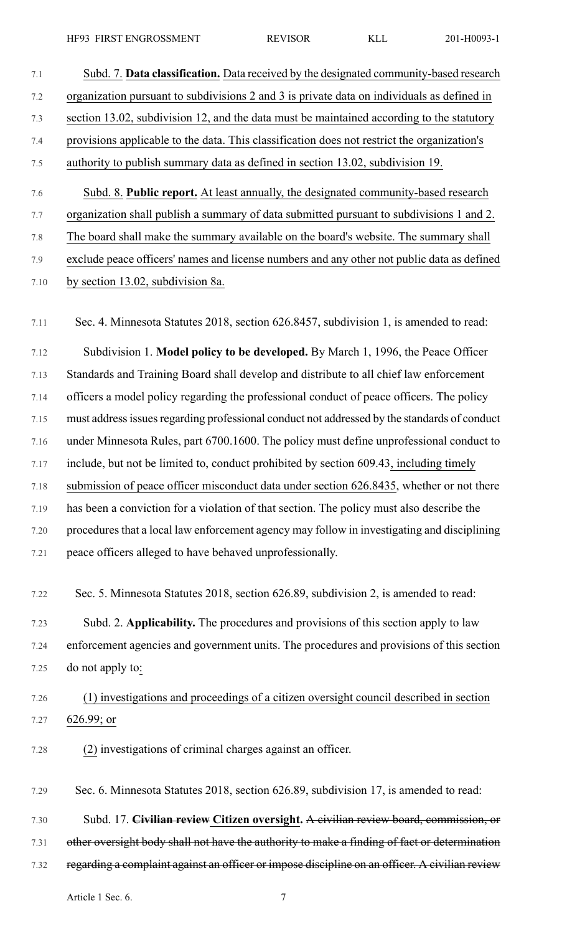| 7.1     | Subd. 7. Data classification. Data received by the designated community-based research         |
|---------|------------------------------------------------------------------------------------------------|
| 7.2     | organization pursuant to subdivisions 2 and 3 is private data on individuals as defined in     |
| 7.3     | section 13.02, subdivision 12, and the data must be maintained according to the statutory      |
| 7.4     | provisions applicable to the data. This classification does not restrict the organization's    |
| $7.5$   | authority to publish summary data as defined in section 13.02, subdivision 19.                 |
| 7.6     | Subd. 8. Public report. At least annually, the designated community-based research             |
| 7.7     | organization shall publish a summary of data submitted pursuant to subdivisions 1 and 2.       |
| $7.8\,$ | The board shall make the summary available on the board's website. The summary shall           |
| 7.9     | exclude peace officers' names and license numbers and any other not public data as defined     |
| 7.10    | by section 13.02, subdivision 8a.                                                              |
| 7.11    | Sec. 4. Minnesota Statutes 2018, section 626.8457, subdivision 1, is amended to read:          |
| 7.12    | Subdivision 1. Model policy to be developed. By March 1, 1996, the Peace Officer               |
| 7.13    | Standards and Training Board shall develop and distribute to all chief law enforcement         |
| 7.14    | officers a model policy regarding the professional conduct of peace officers. The policy       |
| 7.15    | must address issues regarding professional conduct not addressed by the standards of conduct   |
| 7.16    | under Minnesota Rules, part 6700.1600. The policy must define unprofessional conduct to        |
| 7.17    | include, but not be limited to, conduct prohibited by section 609.43, including timely         |
| 7.18    | submission of peace officer misconduct data under section 626.8435, whether or not there       |
| 7.19    | has been a conviction for a violation of that section. The policy must also describe the       |
| 7.20    | procedures that a local law enforcement agency may follow in investigating and disciplining    |
| 7.21    | peace officers alleged to have behaved unprofessionally.                                       |
| 7.22    | Sec. 5. Minnesota Statutes 2018, section 626.89, subdivision 2, is amended to read:            |
| 7.23    | Subd. 2. Applicability. The procedures and provisions of this section apply to law             |
| 7.24    | enforcement agencies and government units. The procedures and provisions of this section       |
| 7.25    | do not apply to:                                                                               |
| 7.26    | (1) investigations and proceedings of a citizen oversight council described in section         |
| 7.27    | $626.99;$ or                                                                                   |
| 7.28    | (2) investigations of criminal charges against an officer.                                     |
| 7.29    | Sec. 6. Minnesota Statutes 2018, section 626.89, subdivision 17, is amended to read:           |
| 7.30    | Subd. 17. Civilian review Citizen oversight. A civilian review board, commission, or           |
| 7.31    | other oversight body shall not have the authority to make a finding of fact or determination   |
| 7.32    | regarding a complaint against an officer or impose discipline on an officer. A civilian review |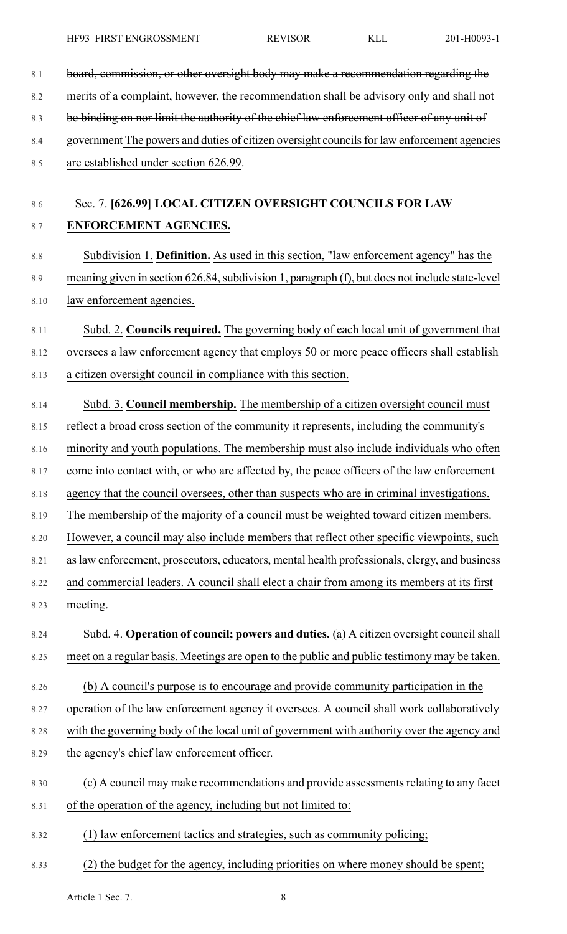| 8.1  | board, commission, or other oversight body may make a recommendation regarding the              |
|------|-------------------------------------------------------------------------------------------------|
| 8.2  | merits of a complaint, however, the recommendation shall be advisory only and shall not         |
| 8.3  | be binding on nor limit the authority of the chief law enforcement officer of any unit of       |
| 8.4  | government The powers and duties of citizen oversight councils for law enforcement agencies     |
| 8.5  | are established under section 626.99.                                                           |
|      |                                                                                                 |
| 8.6  | Sec. 7. [626.99] LOCAL CITIZEN OVERSIGHT COUNCILS FOR LAW                                       |
| 8.7  | ENFORCEMENT AGENCIES.                                                                           |
| 8.8  | Subdivision 1. Definition. As used in this section, "law enforcement agency" has the            |
| 8.9  | meaning given in section 626.84, subdivision 1, paragraph (f), but does not include state-level |
| 8.10 | law enforcement agencies.                                                                       |
| 8.11 | Subd. 2. Councils required. The governing body of each local unit of government that            |
| 8.12 | oversees a law enforcement agency that employs 50 or more peace officers shall establish        |
| 8.13 | a citizen oversight council in compliance with this section.                                    |
| 8.14 | Subd. 3. Council membership. The membership of a citizen oversight council must                 |
| 8.15 | reflect a broad cross section of the community it represents, including the community's         |
| 8.16 | minority and youth populations. The membership must also include individuals who often          |
| 8.17 | come into contact with, or who are affected by, the peace officers of the law enforcement       |
| 8.18 | agency that the council oversees, other than suspects who are in criminal investigations.       |
| 8.19 | The membership of the majority of a council must be weighted toward citizen members.            |
| 8.20 | However, a council may also include members that reflect other specific viewpoints, such        |
| 8.21 | as law enforcement, prosecutors, educators, mental health professionals, clergy, and business   |
| 8.22 | and commercial leaders. A council shall elect a chair from among its members at its first       |
| 8.23 | meeting.                                                                                        |
| 8.24 | Subd. 4. Operation of council; powers and duties. (a) A citizen oversight council shall         |
| 8.25 | meet on a regular basis. Meetings are open to the public and public testimony may be taken.     |
| 8.26 | (b) A council's purpose is to encourage and provide community participation in the              |
| 8.27 | operation of the law enforcement agency it oversees. A council shall work collaboratively       |
| 8.28 | with the governing body of the local unit of government with authority over the agency and      |
| 8.29 | the agency's chief law enforcement officer.                                                     |
| 8.30 | (c) A council may make recommendations and provide assessments relating to any facet            |
| 8.31 | of the operation of the agency, including but not limited to:                                   |
| 8.32 | (1) law enforcement tactics and strategies, such as community policing;                         |
| 8.33 | (2) the budget for the agency, including priorities on where money should be spent;             |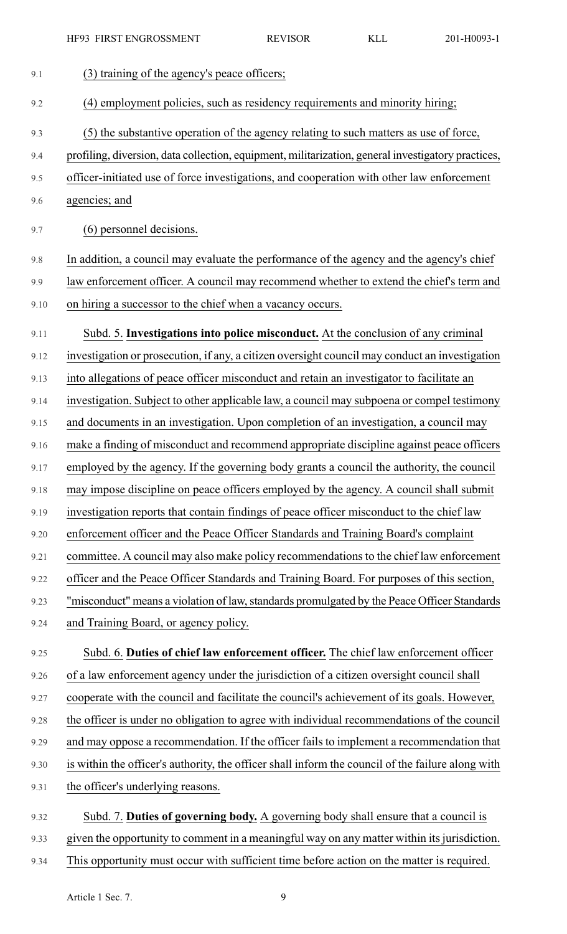| 9.1  | (3) training of the agency's peace officers;                                                       |
|------|----------------------------------------------------------------------------------------------------|
| 9.2  | (4) employment policies, such as residency requirements and minority hiring;                       |
| 9.3  | (5) the substantive operation of the agency relating to such matters as use of force,              |
| 9.4  | profiling, diversion, data collection, equipment, militarization, general investigatory practices, |
| 9.5  | officer-initiated use of force investigations, and cooperation with other law enforcement          |
| 9.6  | agencies; and                                                                                      |
| 9.7  | (6) personnel decisions.                                                                           |
| 9.8  | In addition, a council may evaluate the performance of the agency and the agency's chief           |
| 9.9  | law enforcement officer. A council may recommend whether to extend the chief's term and            |
| 9.10 | on hiring a successor to the chief when a vacancy occurs.                                          |
| 9.11 | Subd. 5. Investigations into police misconduct. At the conclusion of any criminal                  |
| 9.12 | investigation or prosecution, if any, a citizen oversight council may conduct an investigation     |
| 9.13 | into allegations of peace officer misconduct and retain an investigator to facilitate an           |
| 9.14 | investigation. Subject to other applicable law, a council may subpoena or compel testimony         |
| 9.15 | and documents in an investigation. Upon completion of an investigation, a council may              |
| 9.16 | make a finding of misconduct and recommend appropriate discipline against peace officers           |
| 9.17 | employed by the agency. If the governing body grants a council the authority, the council          |
| 9.18 | may impose discipline on peace officers employed by the agency. A council shall submit             |
| 9.19 | investigation reports that contain findings of peace officer misconduct to the chief law           |
| 9.20 | enforcement officer and the Peace Officer Standards and Training Board's complaint                 |
| 9.21 | committee. A council may also make policy recommendations to the chief law enforcement             |
| 9.22 | officer and the Peace Officer Standards and Training Board. For purposes of this section,          |
| 9.23 | "misconduct" means a violation of law, standards promulgated by the Peace Officer Standards        |
| 9.24 | and Training Board, or agency policy.                                                              |
| 9.25 | Subd. 6. Duties of chief law enforcement officer. The chief law enforcement officer                |
| 9.26 | of a law enforcement agency under the jurisdiction of a citizen oversight council shall            |
| 9.27 | cooperate with the council and facilitate the council's achievement of its goals. However,         |
| 9.28 | the officer is under no obligation to agree with individual recommendations of the council         |
| 9.29 | and may oppose a recommendation. If the officer fails to implement a recommendation that           |
| 9.30 | is within the officer's authority, the officer shall inform the council of the failure along with  |
| 9.31 | the officer's underlying reasons.                                                                  |
| 9.32 | Subd. 7. Duties of governing body. A governing body shall ensure that a council is                 |
| 9.33 | given the opportunity to comment in a meaningful way on any matter within its jurisdiction.        |

9.34 This opportunity must occur with sufficient time before action on the matter is required.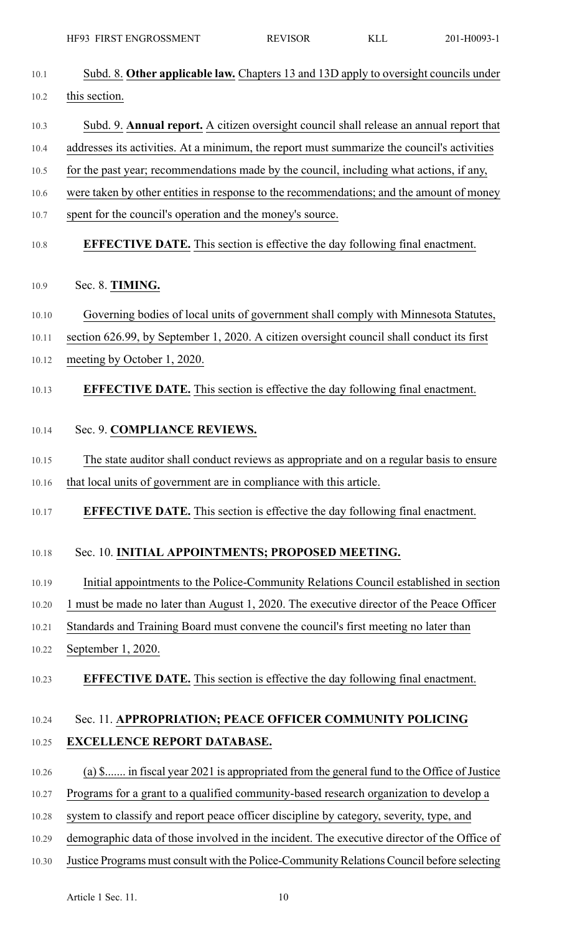| 201-H0093-1 |
|-------------|
|-------------|

| 10.1  | Subd. 8. Other applicable law. Chapters 13 and 13D apply to oversight councils under        |
|-------|---------------------------------------------------------------------------------------------|
| 10.2  | this section.                                                                               |
| 10.3  | Subd. 9. Annual report. A citizen oversight council shall release an annual report that     |
| 10.4  | addresses its activities. At a minimum, the report must summarize the council's activities  |
| 10.5  | for the past year; recommendations made by the council, including what actions, if any,     |
| 10.6  | were taken by other entities in response to the recommendations; and the amount of money    |
| 10.7  | spent for the council's operation and the money's source.                                   |
| 10.8  | <b>EFFECTIVE DATE.</b> This section is effective the day following final enactment.         |
| 10.9  | Sec. 8. TIMING.                                                                             |
| 10.10 | Governing bodies of local units of government shall comply with Minnesota Statutes,         |
| 10.11 | section 626.99, by September 1, 2020. A citizen oversight council shall conduct its first   |
| 10.12 | meeting by October 1, 2020.                                                                 |
| 10.13 | <b>EFFECTIVE DATE.</b> This section is effective the day following final enactment.         |
| 10.14 | Sec. 9. COMPLIANCE REVIEWS.                                                                 |
| 10.15 | The state auditor shall conduct reviews as appropriate and on a regular basis to ensure     |
| 10.16 | that local units of government are in compliance with this article.                         |
| 10.17 | <b>EFFECTIVE DATE.</b> This section is effective the day following final enactment.         |
| 10.18 | Sec. 10. INITIAL APPOINTMENTS; PROPOSED MEETING.                                            |
| 10.19 | Initial appointments to the Police-Community Relations Council established in section       |
| 10.20 | 1 must be made no later than August 1, 2020. The executive director of the Peace Officer    |
| 10.21 | Standards and Training Board must convene the council's first meeting no later than         |
| 10.22 | September 1, 2020.                                                                          |
| 10.23 | <b>EFFECTIVE DATE.</b> This section is effective the day following final enactment.         |
| 10.24 | Sec. 11. APPROPRIATION; PEACE OFFICER COMMUNITY POLICING                                    |
| 10.25 | <b>EXCELLENCE REPORT DATABASE.</b>                                                          |
| 10.26 | (a) \$ in fiscal year 2021 is appropriated from the general fund to the Office of Justice   |
| 10.27 | Programs for a grant to a qualified community-based research organization to develop a      |
| 10.28 | system to classify and report peace officer discipline by category, severity, type, and     |
| 10.29 | demographic data of those involved in the incident. The executive director of the Office of |

10.30 Justice Programs must consult with the Police-Community Relations Council before selecting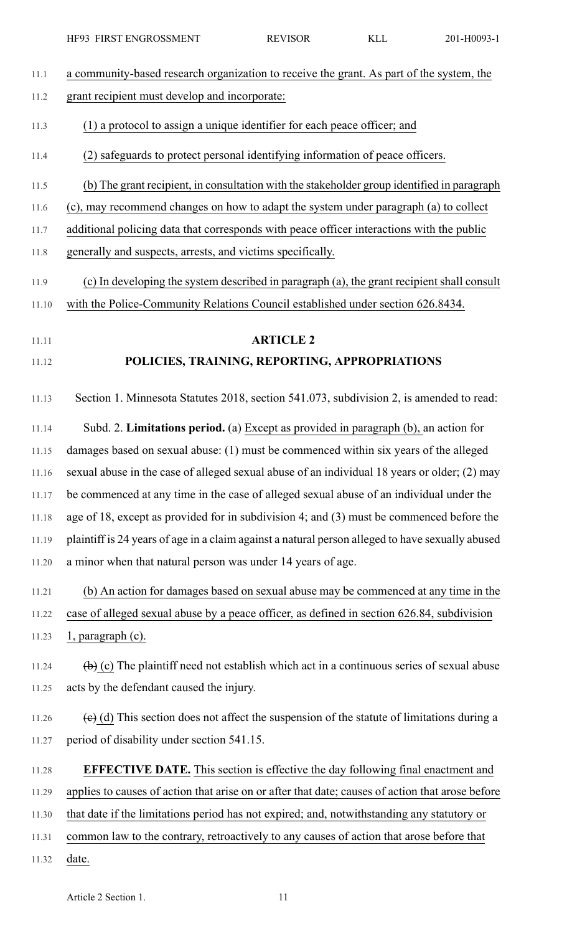| 11.1  | a community-based research organization to receive the grant. As part of the system, the              |
|-------|-------------------------------------------------------------------------------------------------------|
| 11.2  | grant recipient must develop and incorporate:                                                         |
| 11.3  | (1) a protocol to assign a unique identifier for each peace officer; and                              |
| 11.4  | (2) safeguards to protect personal identifying information of peace officers.                         |
| 11.5  | (b) The grant recipient, in consultation with the stakeholder group identified in paragraph           |
| 11.6  | (c), may recommend changes on how to adapt the system under paragraph (a) to collect                  |
| 11.7  | additional policing data that corresponds with peace officer interactions with the public             |
| 11.8  | generally and suspects, arrests, and victims specifically.                                            |
| 11.9  | (c) In developing the system described in paragraph (a), the grant recipient shall consult            |
| 11.10 | with the Police-Community Relations Council established under section 626.8434.                       |
| 11.11 | <b>ARTICLE 2</b>                                                                                      |
| 11.12 | POLICIES, TRAINING, REPORTING, APPROPRIATIONS                                                         |
| 11.13 | Section 1. Minnesota Statutes 2018, section 541.073, subdivision 2, is amended to read:               |
| 11.14 | Subd. 2. Limitations period. (a) Except as provided in paragraph (b), an action for                   |
| 11.15 | damages based on sexual abuse: (1) must be commenced within six years of the alleged                  |
| 11.16 | sexual abuse in the case of alleged sexual abuse of an individual 18 years or older; (2) may          |
| 11.17 | be commenced at any time in the case of alleged sexual abuse of an individual under the               |
| 11.18 | age of 18, except as provided for in subdivision 4; and (3) must be commenced before the              |
| 11.19 | plaintiff is 24 years of age in a claim against a natural person alleged to have sexually abused      |
| 11.20 | a minor when that natural person was under 14 years of age.                                           |
| 11.21 | (b) An action for damages based on sexual abuse may be commenced at any time in the                   |
| 11.22 | case of alleged sexual abuse by a peace officer, as defined in section 626.84, subdivision            |
| 11.23 | $1$ , paragraph (c).                                                                                  |
| 11.24 | $\overline{a}$ (c) The plaintiff need not establish which act in a continuous series of sexual abuse  |
| 11.25 | acts by the defendant caused the injury.                                                              |
| 11.26 | $\overline{e}$ (d) This section does not affect the suspension of the statute of limitations during a |
| 11.27 | period of disability under section 541.15.                                                            |
| 11.28 | <b>EFFECTIVE DATE.</b> This section is effective the day following final enactment and                |
| 11.29 | applies to causes of action that arise on or after that date; causes of action that arose before      |
| 11.30 | that date if the limitations period has not expired; and, notwithstanding any statutory or            |
| 11.31 | common law to the contrary, retroactively to any causes of action that arose before that              |
| 11.32 | date.                                                                                                 |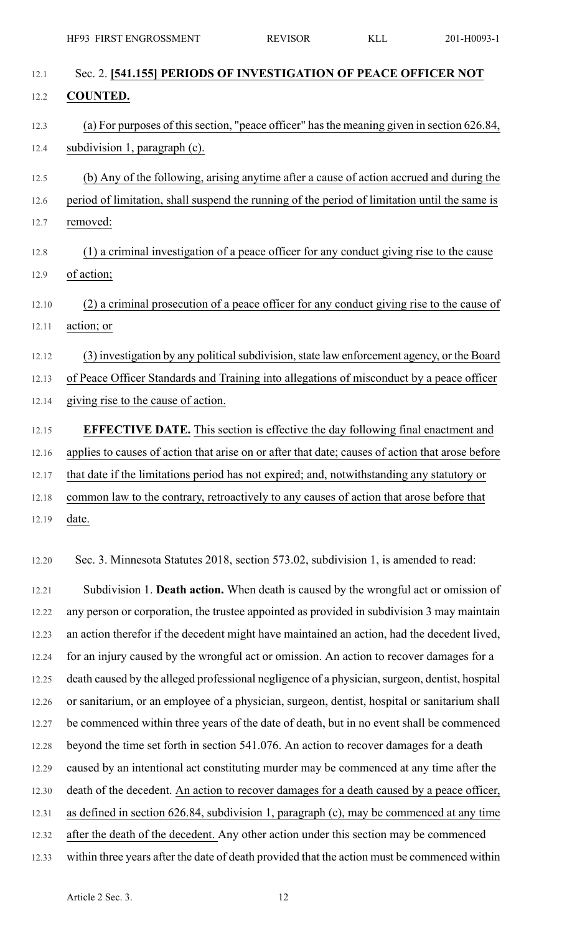| 12.1  | Sec. 2. [541.155] PERIODS OF INVESTIGATION OF PEACE OFFICER NOT                                  |
|-------|--------------------------------------------------------------------------------------------------|
| 12.2  | <b>COUNTED.</b>                                                                                  |
| 12.3  | (a) For purposes of this section, "peace officer" has the meaning given in section 626.84,       |
| 12.4  | subdivision 1, paragraph (c).                                                                    |
| 12.5  | (b) Any of the following, arising anytime after a cause of action accrued and during the         |
| 12.6  | period of limitation, shall suspend the running of the period of limitation until the same is    |
| 12.7  | removed:                                                                                         |
| 12.8  | (1) a criminal investigation of a peace officer for any conduct giving rise to the cause         |
| 12.9  | of action;                                                                                       |
| 12.10 | (2) a criminal prosecution of a peace officer for any conduct giving rise to the cause of        |
| 12.11 | action; or                                                                                       |
| 12.12 | (3) investigation by any political subdivision, state law enforcement agency, or the Board       |
| 12.13 | of Peace Officer Standards and Training into allegations of misconduct by a peace officer        |
| 12.14 | giving rise to the cause of action.                                                              |
| 12.15 | <b>EFFECTIVE DATE.</b> This section is effective the day following final enactment and           |
| 12.16 | applies to causes of action that arise on or after that date; causes of action that arose before |
| 12.17 | that date if the limitations period has not expired; and, notwithstanding any statutory or       |
| 12.18 | common law to the contrary, retroactively to any causes of action that arose before that         |
| 12.19 | date.                                                                                            |
| 12.20 | Sec. 3. Minnesota Statutes 2018, section 573.02, subdivision 1, is amended to read:              |
| 12.21 | Subdivision 1. Death action. When death is caused by the wrongful act or omission of             |
| 12.22 | any person or corporation, the trustee appointed as provided in subdivision 3 may maintain       |
| 12.23 | an action therefor if the decedent might have maintained an action, had the decedent lived,      |
| 12.24 | for an injury caused by the wrongful act or omission. An action to recover damages for a         |
| 12.25 | death caused by the alleged professional negligence of a physician, surgeon, dentist, hospital   |
| 12.26 | or sanitarium, or an employee of a physician, surgeon, dentist, hospital or sanitarium shall     |
| 12.27 | be commenced within three years of the date of death, but in no event shall be commenced         |
| 12.28 | beyond the time set forth in section 541.076. An action to recover damages for a death           |
| 12.29 | caused by an intentional act constituting murder may be commenced at any time after the          |
| 12.30 | death of the decedent. An action to recover damages for a death caused by a peace officer,       |
| 12.31 | as defined in section 626.84, subdivision 1, paragraph (c), may be commenced at any time         |
| 12.32 | after the death of the decedent. Any other action under this section may be commenced            |
| 12.33 | within three years after the date of death provided that the action must be commenced within     |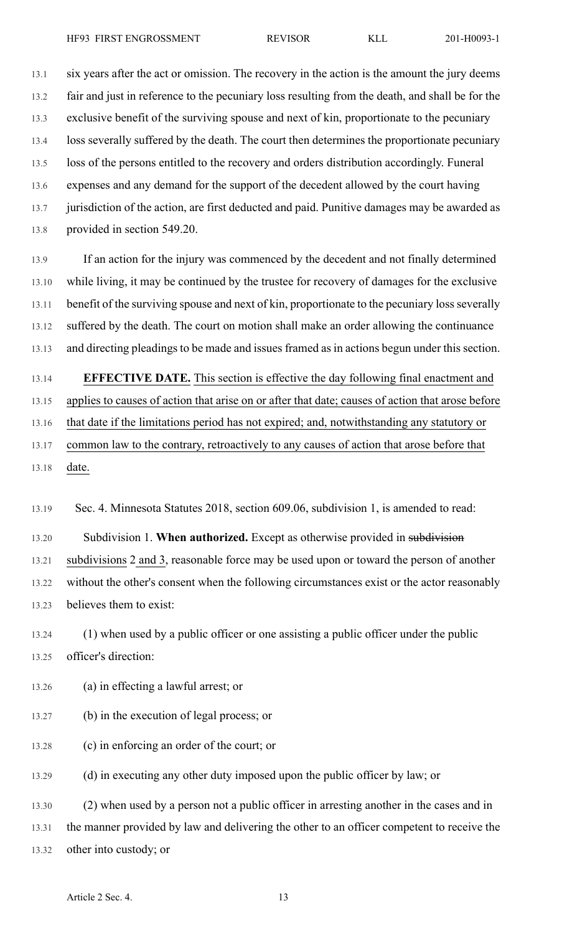13.1 six years after the act or omission. The recovery in the action is the amount the jury deems 13.2 fair and just in reference to the pecuniary loss resulting from the death, and shall be for the 13.3 exclusive benefit of the surviving spouse and next of kin, proportionate to the pecuniary 13.4 loss severally suffered by the death. The court then determines the proportionate pecuniary 13.5 loss of the persons entitled to the recovery and orders distribution accordingly. Funeral 13.6 expenses and any demand for the support of the decedent allowed by the court having 13.7 jurisdiction of the action, are first deducted and paid. Punitive damages may be awarded as 13.8 provided in section 549.20.

13.9 If an action for the injury was commenced by the decedent and not finally determined 13.10 while living, it may be continued by the trustee for recovery of damages for the exclusive 13.11 benefit of the surviving spouse and next of kin, proportionate to the pecuniary loss severally 13.12 suffered by the death. The court on motion shall make an order allowing the continuance 13.13 and directing pleadings to be made and issues framed as in actions begun under this section.

13.14 **EFFECTIVE DATE.** This section is effective the day following final enactment and 13.15 applies to causes of action that arise on or after that date; causes of action that arose before 13.16 that date if the limitations period has not expired; and, notwithstanding any statutory or 13.17 common law to the contrary, retroactively to any causes of action that arose before that 13.18 date.

13.19 Sec. 4. Minnesota Statutes 2018, section 609.06, subdivision 1, is amended to read:

13.20 Subdivision 1. **When authorized.** Except as otherwise provided in subdivision 13.21 subdivisions 2 and 3, reasonable force may be used upon or toward the person of another 13.22 without the other's consent when the following circumstances exist or the actor reasonably 13.23 believes them to exist:

13.24 (1) when used by a public officer or one assisting a public officer under the public 13.25 officer's direction:

13.26 (a) in effecting a lawful arrest; or

- 13.27 (b) in the execution of legal process; or
- 13.28 (c) in enforcing an order of the court; or

13.29 (d) in executing any other duty imposed upon the public officer by law; or

13.30 (2) when used by a person not a public officer in arresting another in the cases and in 13.31 the manner provided by law and delivering the other to an officer competent to receive the 13.32 other into custody; or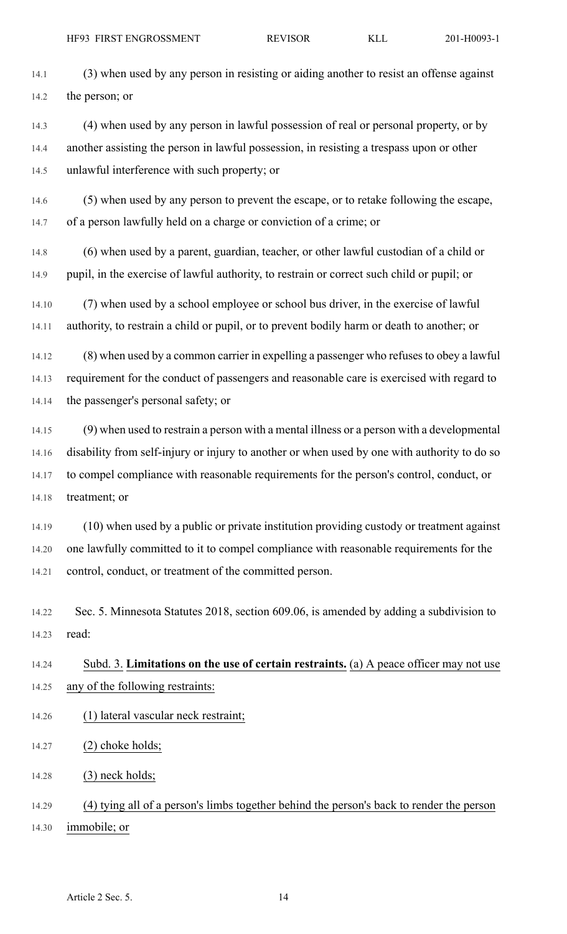14.1 (3) when used by any person in resisting or aiding another to resist an offense against 14.2 the person; or

14.3 (4) when used by any person in lawful possession of real or personal property, or by 14.4 another assisting the person in lawful possession, in resisting a trespass upon or other 14.5 unlawful interference with such property; or

14.6 (5) when used by any person to prevent the escape, or to retake following the escape, 14.7 of a person lawfully held on a charge or conviction of a crime; or

14.8 (6) when used by a parent, guardian, teacher, or other lawful custodian of a child or 14.9 pupil, in the exercise of lawful authority, to restrain or correct such child or pupil; or

14.10 (7) when used by a school employee or school bus driver, in the exercise of lawful 14.11 authority, to restrain a child or pupil, or to prevent bodily harm or death to another; or

14.12 (8) when used by a common carrier in expelling a passenger who refusesto obey a lawful 14.13 requirement for the conduct of passengers and reasonable care is exercised with regard to 14.14 the passenger's personal safety; or

14.15 (9) when used to restrain a person with a mental illness or a person with a developmental 14.16 disability from self-injury or injury to another or when used by one with authority to do so 14.17 to compel compliance with reasonable requirements for the person's control, conduct, or 14.18 treatment; or

14.19 (10) when used by a public or private institution providing custody or treatment against 14.20 one lawfully committed to it to compel compliance with reasonable requirements for the 14.21 control, conduct, or treatment of the committed person.

14.22 Sec. 5. Minnesota Statutes 2018, section 609.06, is amended by adding a subdivision to 14.23 read:

## 14.24 Subd. 3. **Limitations on the use of certain restraints.** (a) A peace officer may not use 14.25 any of the following restraints:

- 14.26 (1) lateral vascular neck restraint;
- 14.27 (2) choke holds;
- 14.28 (3) neck holds;

14.29 (4) tying all of a person's limbs together behind the person's back to render the person 14.30 immobile; or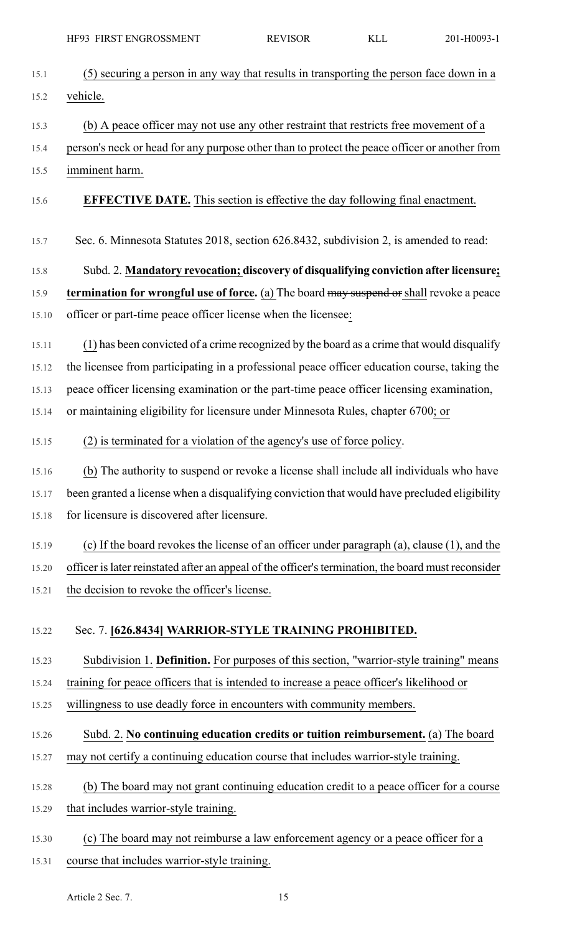| HF93 FIRST ENGROSSMENT                                                                              | <b>REVISOR</b> | <b>KLL</b> | 201-H0093-1 |
|-----------------------------------------------------------------------------------------------------|----------------|------------|-------------|
| (5) securing a person in any way that results in transporting the person face down in a             |                |            |             |
| vehicle.                                                                                            |                |            |             |
| (b) A peace officer may not use any other restraint that restricts free movement of a               |                |            |             |
| person's neck or head for any purpose other than to protect the peace officer or another from       |                |            |             |
| imminent harm.                                                                                      |                |            |             |
| <b>EFFECTIVE DATE.</b> This section is effective the day following final enactment.                 |                |            |             |
| Sec. 6. Minnesota Statutes 2018, section 626.8432, subdivision 2, is amended to read:               |                |            |             |
| Subd. 2. Mandatory revocation; discovery of disqualifying conviction after licensure;               |                |            |             |
| termination for wrongful use of force. (a) The board may suspend or shall revoke a peace            |                |            |             |
| officer or part-time peace officer license when the licensee:                                       |                |            |             |
| (1) has been convicted of a crime recognized by the board as a crime that would disqualify          |                |            |             |
| the licensee from participating in a professional peace officer education course, taking the        |                |            |             |
| peace officer licensing examination or the part-time peace officer licensing examination,           |                |            |             |
| or maintaining eligibility for licensure under Minnesota Rules, chapter 6700; or                    |                |            |             |
| (2) is terminated for a violation of the agency's use of force policy.                              |                |            |             |
| (b) The authority to suspend or revoke a license shall include all individuals who have             |                |            |             |
| been granted a license when a disqualifying conviction that would have precluded eligibility        |                |            |             |
| for licensure is discovered after licensure.                                                        |                |            |             |
| (c) If the board revokes the license of an officer under paragraph (a), clause (1), and the         |                |            |             |
| officer is later reinstated after an appeal of the officer's termination, the board must reconsider |                |            |             |
| the decision to revoke the officer's license.                                                       |                |            |             |
| Sec. 7. [626.8434] WARRIOR-STYLE TRAINING PROHIBITED.                                               |                |            |             |
| Subdivision 1. Definition. For purposes of this section, "warrior-style training" means             |                |            |             |
| training for peace officers that is intended to increase a peace officer's likelihood or            |                |            |             |
| willingness to use deadly force in encounters with community members.                               |                |            |             |
| Subd. 2. No continuing education credits or tuition reimbursement. (a) The board                    |                |            |             |
| may not certify a continuing education course that includes warrior-style training.                 |                |            |             |

- 15.28 (b) The board may not grant continuing education credit to a peace officer for a course 15.29 that includes warrior-style training.
- 15.30 (c) The board may not reimburse a law enforcement agency or a peace officer for a 15.31 course that includes warrior-style training.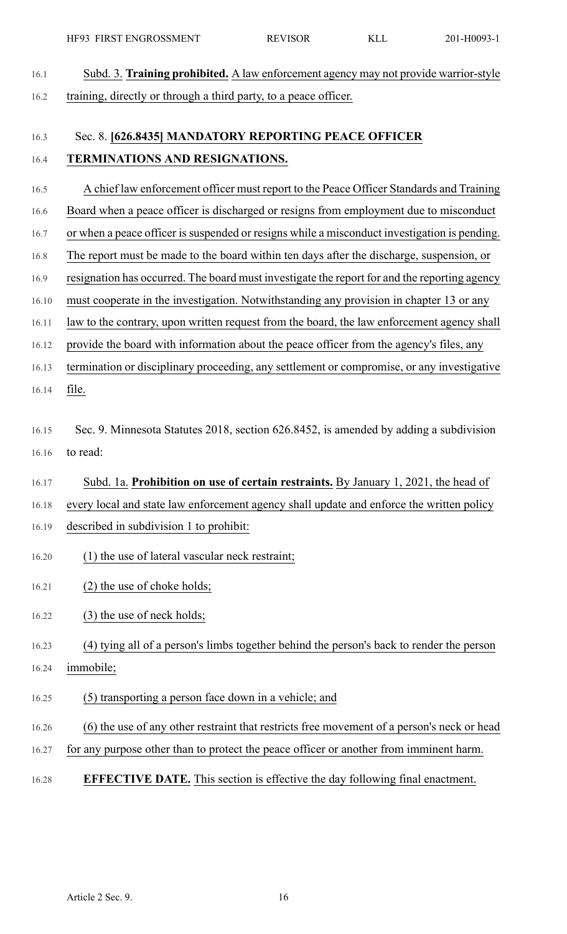16.1 Subd. 3. **Training prohibited.** A law enforcement agency may not provide warrior-style 16.2 training, directly or through a third party, to a peace officer.

## 16.3 Sec. 8. **[626.8435] MANDATORY REPORTING PEACE OFFICER** 16.4 **TERMINATIONS AND RESIGNATIONS.**

- 16.5 A chief law enforcement officer must report to the Peace Officer Standards and Training
- 16.6 Board when a peace officer is discharged or resigns from employment due to misconduct
- 16.7 or when a peace officer is suspended or resigns while a misconduct investigation is pending.
- 16.8 The report must be made to the board within ten days after the discharge, suspension, or
- 16.9 resignation has occurred. The board must investigate the report for and the reporting agency
- 16.10 must cooperate in the investigation. Notwithstanding any provision in chapter 13 or any
- 16.11 law to the contrary, upon written request from the board, the law enforcement agency shall
- 16.12 provide the board with information about the peace officer from the agency's files, any
- 16.13 termination or disciplinary proceeding, any settlement or compromise, or any investigative 16.14 file.
- 16.15 Sec. 9. Minnesota Statutes 2018, section 626.8452, is amended by adding a subdivision 16.16 to read:
- 16.17 Subd. 1a. **Prohibition on use of certain restraints.** By January 1, 2021, the head of
- 16.18 every local and state law enforcement agency shall update and enforce the written policy
- 16.19 described in subdivision 1 to prohibit:
- 16.20 (1) the use of lateral vascular neck restraint;
- 16.21 (2) the use of choke holds;
- 16.22 (3) the use of neck holds;

- 16.24 immobile;
- 16.25 (5) transporting a person face down in a vehicle; and
- 16.26 (6) the use of any other restraint that restricts free movement of a person's neck or head
- 16.27 for any purpose other than to protect the peace officer or another from imminent harm.
- 16.28 **EFFECTIVE DATE.** This section is effective the day following final enactment.

<sup>16.23</sup> (4) tying all of a person's limbs together behind the person's back to render the person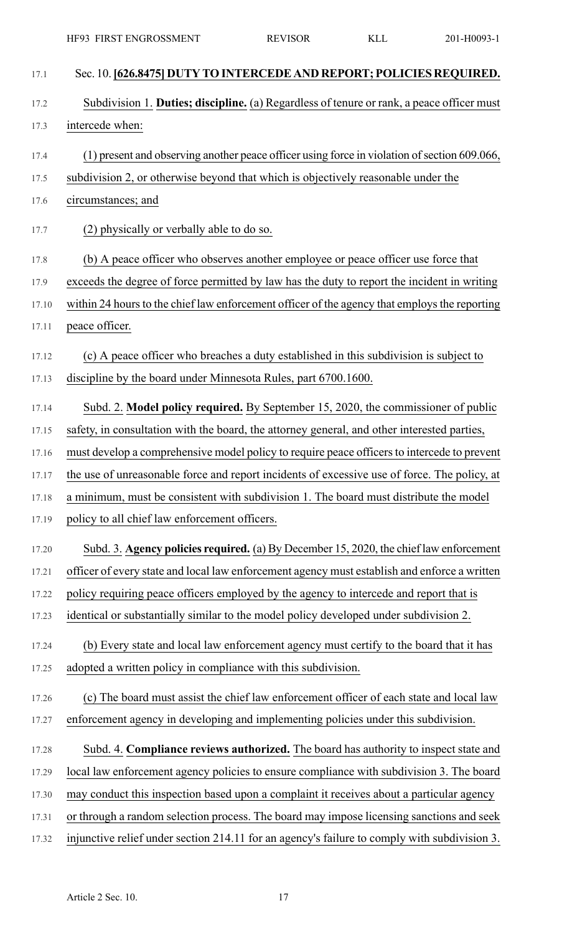| 17.1  | Sec. 10. [626.8475] DUTY TO INTERCEDE AND REPORT; POLICIES REQUIRED.                          |
|-------|-----------------------------------------------------------------------------------------------|
| 17.2  | Subdivision 1. Duties; discipline. (a) Regardless of tenure or rank, a peace officer must     |
| 17.3  | intercede when:                                                                               |
| 17.4  | (1) present and observing another peace officer using force in violation of section 609.066,  |
| 17.5  | subdivision 2, or otherwise beyond that which is objectively reasonable under the             |
| 17.6  | circumstances; and                                                                            |
| 17.7  | (2) physically or verbally able to do so.                                                     |
| 17.8  | (b) A peace officer who observes another employee or peace officer use force that             |
| 17.9  | exceeds the degree of force permitted by law has the duty to report the incident in writing   |
| 17.10 | within 24 hours to the chief law enforcement officer of the agency that employs the reporting |
| 17.11 | peace officer.                                                                                |
| 17.12 | (c) A peace officer who breaches a duty established in this subdivision is subject to         |
| 17.13 | discipline by the board under Minnesota Rules, part 6700.1600.                                |
| 17.14 | Subd. 2. Model policy required. By September 15, 2020, the commissioner of public             |
| 17.15 | safety, in consultation with the board, the attorney general, and other interested parties,   |
| 17.16 | must develop a comprehensive model policy to require peace officers to intercede to prevent   |
| 17.17 | the use of unreasonable force and report incidents of excessive use of force. The policy, at  |
| 17.18 | a minimum, must be consistent with subdivision 1. The board must distribute the model         |
| 17.19 | policy to all chief law enforcement officers.                                                 |
| 17.20 | Subd. 3. Agency policies required. (a) By December 15, 2020, the chief law enforcement        |
| 17.21 | officer of every state and local law enforcement agency must establish and enforce a written  |
| 17.22 | policy requiring peace officers employed by the agency to intercede and report that is        |
| 17.23 | identical or substantially similar to the model policy developed under subdivision 2.         |
| 17.24 | (b) Every state and local law enforcement agency must certify to the board that it has        |
| 17.25 | adopted a written policy in compliance with this subdivision.                                 |
| 17.26 | (c) The board must assist the chief law enforcement officer of each state and local law       |
| 17.27 | enforcement agency in developing and implementing policies under this subdivision.            |
| 17.28 | Subd. 4. Compliance reviews authorized. The board has authority to inspect state and          |
| 17.29 | local law enforcement agency policies to ensure compliance with subdivision 3. The board      |
| 17.30 | may conduct this inspection based upon a complaint it receives about a particular agency      |
| 17.31 | or through a random selection process. The board may impose licensing sanctions and seek      |
| 17.32 | injunctive relief under section 214.11 for an agency's failure to comply with subdivision 3.  |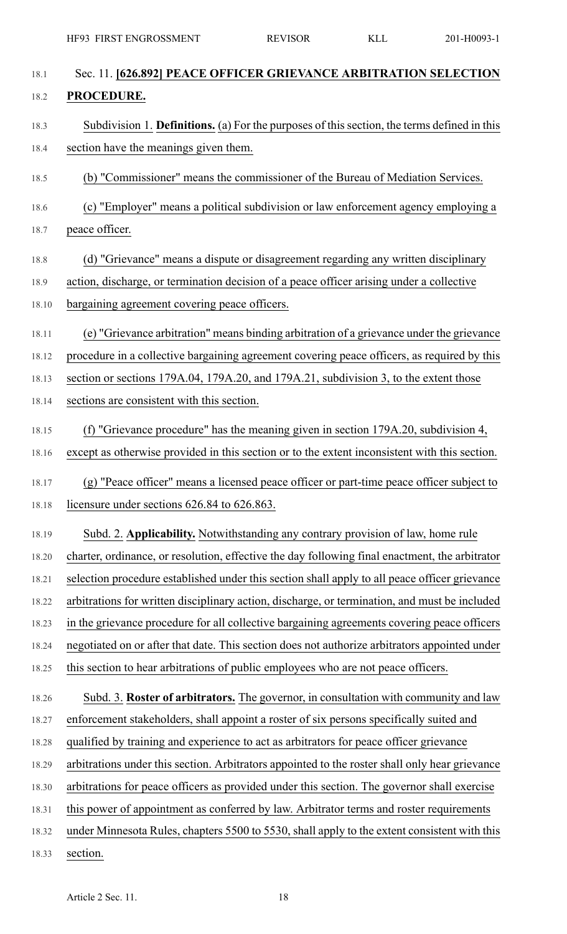| 18.1  | Sec. 11. [626.892] PEACE OFFICER GRIEVANCE ARBITRATION SELECTION                                   |
|-------|----------------------------------------------------------------------------------------------------|
| 18.2  | PROCEDURE.                                                                                         |
| 18.3  | Subdivision 1. <b>Definitions.</b> (a) For the purposes of this section, the terms defined in this |
| 18.4  | section have the meanings given them.                                                              |
| 18.5  | (b) "Commissioner" means the commissioner of the Bureau of Mediation Services.                     |
| 18.6  | (c) "Employer" means a political subdivision or law enforcement agency employing a                 |
| 18.7  | peace officer.                                                                                     |
| 18.8  | (d) "Grievance" means a dispute or disagreement regarding any written disciplinary                 |
| 18.9  | action, discharge, or termination decision of a peace officer arising under a collective           |
| 18.10 | bargaining agreement covering peace officers.                                                      |
| 18.11 | (e) "Grievance arbitration" means binding arbitration of a grievance under the grievance           |
| 18.12 | procedure in a collective bargaining agreement covering peace officers, as required by this        |
| 18.13 | section or sections 179A.04, 179A.20, and 179A.21, subdivision 3, to the extent those              |
| 18.14 | sections are consistent with this section.                                                         |
| 18.15 | "Grievance procedure" has the meaning given in section 179A.20, subdivision 4,<br>(f)              |
| 18.16 | except as otherwise provided in this section or to the extent inconsistent with this section.      |
| 18.17 | (g) "Peace officer" means a licensed peace officer or part-time peace officer subject to           |
| 18.18 | licensure under sections 626.84 to 626.863.                                                        |
| 18.19 | Subd. 2. Applicability. Notwithstanding any contrary provision of law, home rule                   |
| 18.20 | charter, ordinance, or resolution, effective the day following final enactment, the arbitrator     |
| 18.21 | selection procedure established under this section shall apply to all peace officer grievance      |
| 18.22 | arbitrations for written disciplinary action, discharge, or termination, and must be included      |
| 18.23 | in the grievance procedure for all collective bargaining agreements covering peace officers        |
| 18.24 | negotiated on or after that date. This section does not authorize arbitrators appointed under      |
| 18.25 | this section to hear arbitrations of public employees who are not peace officers.                  |
| 18.26 | Subd. 3. Roster of arbitrators. The governor, in consultation with community and law               |
| 18.27 | enforcement stakeholders, shall appoint a roster of six persons specifically suited and            |
| 18.28 | qualified by training and experience to act as arbitrators for peace officer grievance             |
| 18.29 | arbitrations under this section. Arbitrators appointed to the roster shall only hear grievance     |
| 18.30 | arbitrations for peace officers as provided under this section. The governor shall exercise        |
| 18.31 | this power of appointment as conferred by law. Arbitrator terms and roster requirements            |
| 18.32 | under Minnesota Rules, chapters 5500 to 5530, shall apply to the extent consistent with this       |
| 18.33 | section.                                                                                           |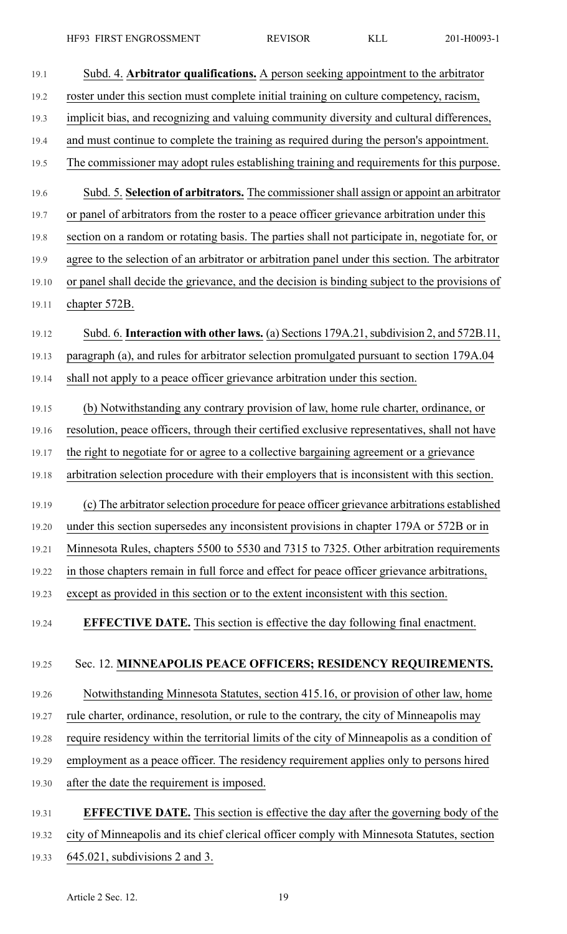| 19.1  | Subd. 4. Arbitrator qualifications. A person seeking appointment to the arbitrator              |
|-------|-------------------------------------------------------------------------------------------------|
| 19.2  | roster under this section must complete initial training on culture competency, racism,         |
| 19.3  | implicit bias, and recognizing and valuing community diversity and cultural differences,        |
| 19.4  | and must continue to complete the training as required during the person's appointment.         |
| 19.5  | The commissioner may adopt rules establishing training and requirements for this purpose.       |
| 19.6  | Subd. 5. Selection of arbitrators. The commissioner shall assign or appoint an arbitrator       |
| 19.7  | or panel of arbitrators from the roster to a peace officer grievance arbitration under this     |
| 19.8  | section on a random or rotating basis. The parties shall not participate in, negotiate for, or  |
| 19.9  | agree to the selection of an arbitrator or arbitration panel under this section. The arbitrator |
| 19.10 | or panel shall decide the grievance, and the decision is binding subject to the provisions of   |
| 19.11 | chapter 572B.                                                                                   |
| 19.12 | Subd. 6. Interaction with other laws. (a) Sections 179A.21, subdivision 2, and 572B.11,         |
| 19.13 | paragraph (a), and rules for arbitrator selection promulgated pursuant to section 179A.04       |
| 19.14 | shall not apply to a peace officer grievance arbitration under this section.                    |
| 19.15 | (b) Notwithstanding any contrary provision of law, home rule charter, ordinance, or             |
| 19.16 | resolution, peace officers, through their certified exclusive representatives, shall not have   |
| 19.17 | the right to negotiate for or agree to a collective bargaining agreement or a grievance         |
| 19.18 | arbitration selection procedure with their employers that is inconsistent with this section.    |
| 19.19 | (c) The arbitrator selection procedure for peace officer grievance arbitrations established     |
| 19.20 | under this section supersedes any inconsistent provisions in chapter 179A or 572B or in         |
| 19.21 | Minnesota Rules, chapters 5500 to 5530 and 7315 to 7325. Other arbitration requirements         |
| 19.22 | in those chapters remain in full force and effect for peace officer grievance arbitrations,     |
| 19.23 | except as provided in this section or to the extent inconsistent with this section.             |
| 19.24 | <b>EFFECTIVE DATE.</b> This section is effective the day following final enactment.             |
| 19.25 | Sec. 12. MINNEAPOLIS PEACE OFFICERS; RESIDENCY REQUIREMENTS.                                    |
| 19.26 | Notwithstanding Minnesota Statutes, section 415.16, or provision of other law, home             |
| 19.27 | rule charter, ordinance, resolution, or rule to the contrary, the city of Minneapolis may       |
| 19.28 | require residency within the territorial limits of the city of Minneapolis as a condition of    |
| 19.29 | employment as a peace officer. The residency requirement applies only to persons hired          |
| 19.30 | after the date the requirement is imposed.                                                      |
|       |                                                                                                 |
| 19.31 | <b>EFFECTIVE DATE.</b> This section is effective the day after the governing body of the        |
| 19.32 | city of Minneapolis and its chief clerical officer comply with Minnesota Statutes, section      |

19.33 645.021, subdivisions 2 and 3.